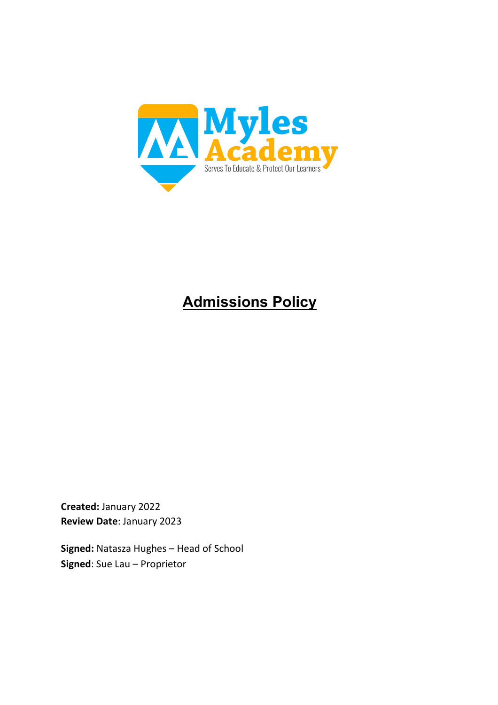

# **Admissions Policy**

**Created:** January 2022 **Review Date**: January 2023

**Signed:** Natasza Hughes – Head of School **Signed**: Sue Lau – Proprietor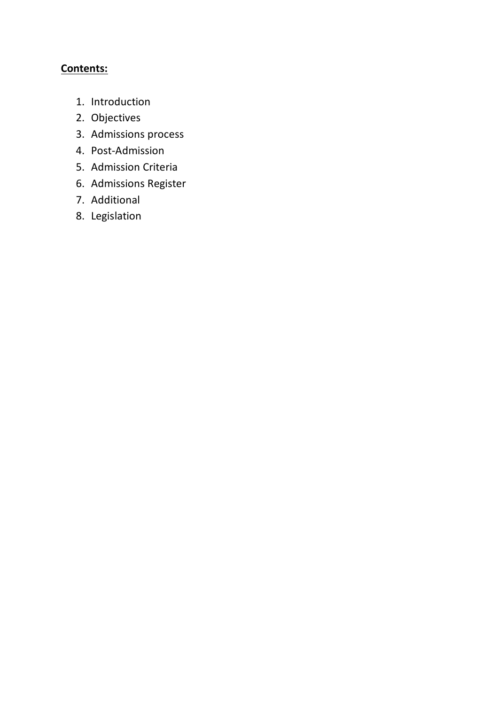# **Contents:**

- 1. Introduction
- 2. Objectives
- 3. Admissions process
- 4. Post-Admission
- 5. Admission Criteria
- 6. Admissions Register
- 7. Additional
- 8. Legislation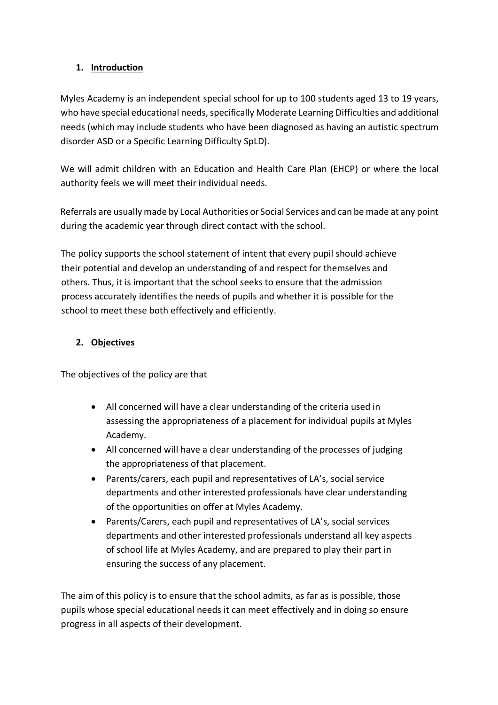#### **1. Introduction**

Myles Academy is an independent special school for up to 100 students aged 13 to 19 years, who have special educational needs, specifically Moderate Learning Difficulties and additional needs (which may include students who have been diagnosed as having an autistic spectrum disorder ASD or a Specific Learning Difficulty SpLD).

We will admit children with an Education and Health Care Plan (EHCP) or where the local authority feels we will meet their individual needs.

Referrals are usually made by Local Authorities or Social Services and can be made at any point during the academic year through direct contact with the school.

The policy supports the school statement of intent that every pupil should achieve their potential and develop an understanding of and respect for themselves and others. Thus, it is important that the school seeks to ensure that the admission process accurately identifies the needs of pupils and whether it is possible for the school to meet these both effectively and efficiently.

# **2. Objectives**

The objectives of the policy are that

- All concerned will have a clear understanding of the criteria used in assessing the appropriateness of a placement for individual pupils at Myles Academy.
- All concerned will have a clear understanding of the processes of judging the appropriateness of that placement.
- Parents/carers, each pupil and representatives of LA's, social service departments and other interested professionals have clear understanding of the opportunities on offer at Myles Academy.
- Parents/Carers, each pupil and representatives of LA's, social services departments and other interested professionals understand all key aspects of school life at Myles Academy, and are prepared to play their part in ensuring the success of any placement.

The aim of this policy is to ensure that the school admits, as far as is possible, those pupils whose special educational needs it can meet effectively and in doing so ensure progress in all aspects of their development.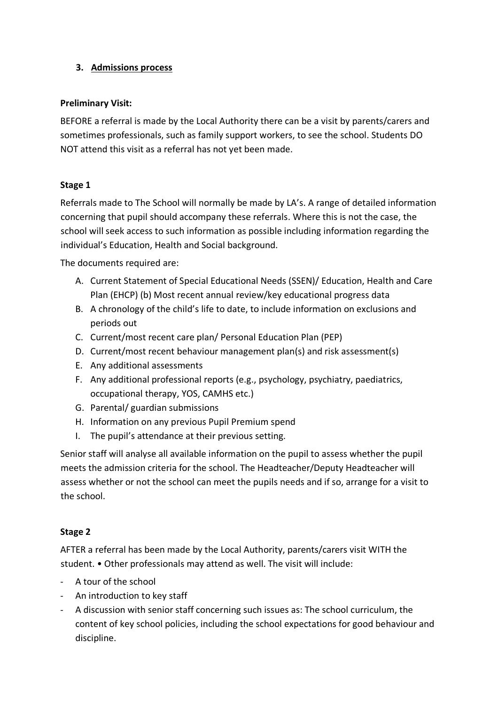#### **3. Admissions process**

#### **Preliminary Visit:**

BEFORE a referral is made by the Local Authority there can be a visit by parents/carers and sometimes professionals, such as family support workers, to see the school. Students DO NOT attend this visit as a referral has not yet been made.

#### **Stage 1**

Referrals made to The School will normally be made by LA's. A range of detailed information concerning that pupil should accompany these referrals. Where this is not the case, the school will seek access to such information as possible including information regarding the individual's Education, Health and Social background.

The documents required are:

- A. Current Statement of Special Educational Needs (SSEN)/ Education, Health and Care Plan (EHCP) (b) Most recent annual review/key educational progress data
- B. A chronology of the child's life to date, to include information on exclusions and periods out
- C. Current/most recent care plan/ Personal Education Plan (PEP)
- D. Current/most recent behaviour management plan(s) and risk assessment(s)
- E. Any additional assessments
- F. Any additional professional reports (e.g., psychology, psychiatry, paediatrics, occupational therapy, YOS, CAMHS etc.)
- G. Parental/ guardian submissions
- H. Information on any previous Pupil Premium spend
- I. The pupil's attendance at their previous setting.

Senior staff will analyse all available information on the pupil to assess whether the pupil meets the admission criteria for the school. The Headteacher/Deputy Headteacher will assess whether or not the school can meet the pupils needs and if so, arrange for a visit to the school.

#### **Stage 2**

AFTER a referral has been made by the Local Authority, parents/carers visit WITH the student. • Other professionals may attend as well. The visit will include:

- A tour of the school
- An introduction to key staff
- A discussion with senior staff concerning such issues as: The school curriculum, the content of key school policies, including the school expectations for good behaviour and discipline.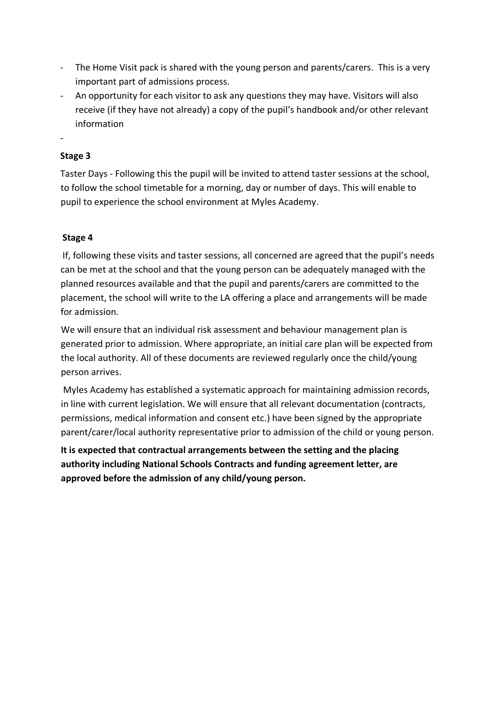- The Home Visit pack is shared with the young person and parents/carers. This is a very important part of admissions process.
- An opportunity for each visitor to ask any questions they may have. Visitors will also receive (if they have not already) a copy of the pupil's handbook and/or other relevant information
- -

### **Stage 3**

Taster Days - Following this the pupil will be invited to attend taster sessions at the school, to follow the school timetable for a morning, day or number of days. This will enable to pupil to experience the school environment at Myles Academy.

#### **Stage 4**

If, following these visits and taster sessions, all concerned are agreed that the pupil's needs can be met at the school and that the young person can be adequately managed with the planned resources available and that the pupil and parents/carers are committed to the placement, the school will write to the LA offering a place and arrangements will be made for admission.

We will ensure that an individual risk assessment and behaviour management plan is generated prior to admission. Where appropriate, an initial care plan will be expected from the local authority. All of these documents are reviewed regularly once the child/young person arrives.

Myles Academy has established a systematic approach for maintaining admission records, in line with current legislation. We will ensure that all relevant documentation (contracts, permissions, medical information and consent etc.) have been signed by the appropriate parent/carer/local authority representative prior to admission of the child or young person.

**It is expected that contractual arrangements between the setting and the placing authority including National Schools Contracts and funding agreement letter, are approved before the admission of any child/young person.**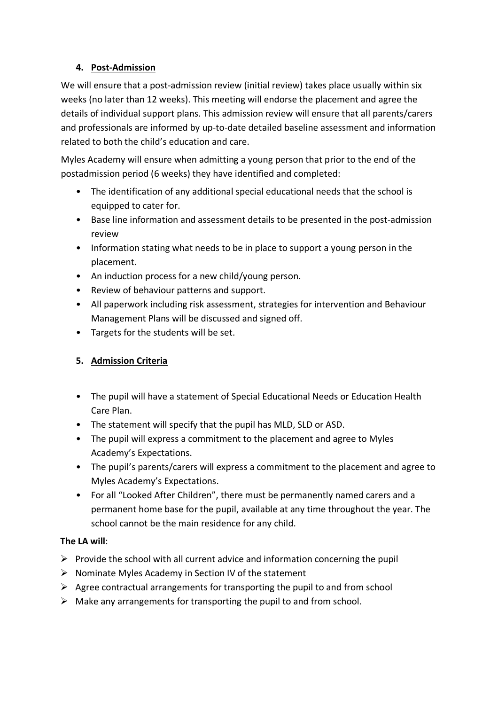### **4. Post-Admission**

We will ensure that a post-admission review (initial review) takes place usually within six weeks (no later than 12 weeks). This meeting will endorse the placement and agree the details of individual support plans. This admission review will ensure that all parents/carers and professionals are informed by up-to-date detailed baseline assessment and information related to both the child's education and care.

Myles Academy will ensure when admitting a young person that prior to the end of the postadmission period (6 weeks) they have identified and completed:

- The identification of any additional special educational needs that the school is equipped to cater for.
- Base line information and assessment details to be presented in the post-admission review
- Information stating what needs to be in place to support a young person in the placement.
- An induction process for a new child/young person.
- Review of behaviour patterns and support.
- All paperwork including risk assessment, strategies for intervention and Behaviour Management Plans will be discussed and signed off.
- Targets for the students will be set.

# **5. Admission Criteria**

- The pupil will have a statement of Special Educational Needs or Education Health Care Plan.
- The statement will specify that the pupil has MLD, SLD or ASD.
- The pupil will express a commitment to the placement and agree to Myles Academy's Expectations.
- The pupil's parents/carers will express a commitment to the placement and agree to Myles Academy's Expectations.
- For all "Looked After Children", there must be permanently named carers and a permanent home base for the pupil, available at any time throughout the year. The school cannot be the main residence for any child.

# **The LA will**:

- $\triangleright$  Provide the school with all current advice and information concerning the pupil
- $\triangleright$  Nominate Myles Academy in Section IV of the statement
- $\triangleright$  Agree contractual arrangements for transporting the pupil to and from school
- $\triangleright$  Make any arrangements for transporting the pupil to and from school.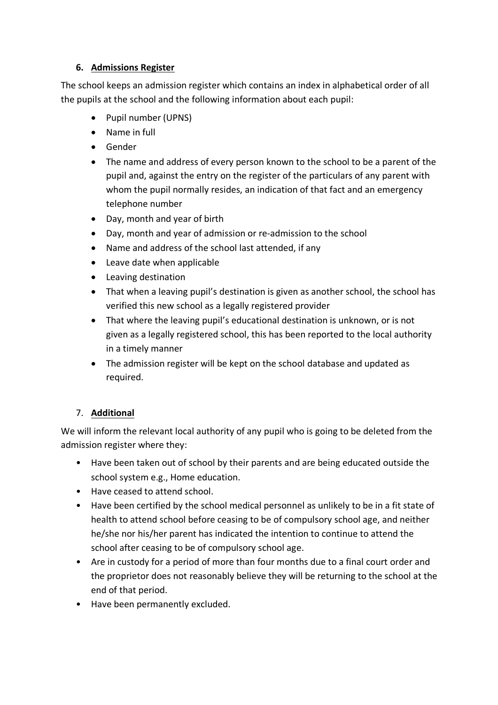#### **6. Admissions Register**

The school keeps an admission register which contains an index in alphabetical order of all the pupils at the school and the following information about each pupil:

- Pupil number (UPNS)
- Name in full
- Gender
- The name and address of every person known to the school to be a parent of the pupil and, against the entry on the register of the particulars of any parent with whom the pupil normally resides, an indication of that fact and an emergency telephone number
- Day, month and year of birth
- Day, month and year of admission or re-admission to the school
- Name and address of the school last attended, if any
- Leave date when applicable
- Leaving destination
- That when a leaving pupil's destination is given as another school, the school has verified this new school as a legally registered provider
- That where the leaving pupil's educational destination is unknown, or is not given as a legally registered school, this has been reported to the local authority in a timely manner
- The admission register will be kept on the school database and updated as required.

# 7. **Additional**

We will inform the relevant local authority of any pupil who is going to be deleted from the admission register where they:

- Have been taken out of school by their parents and are being educated outside the school system e.g., Home education.
- Have ceased to attend school.
- Have been certified by the school medical personnel as unlikely to be in a fit state of health to attend school before ceasing to be of compulsory school age, and neither he/she nor his/her parent has indicated the intention to continue to attend the school after ceasing to be of compulsory school age.
- Are in custody for a period of more than four months due to a final court order and the proprietor does not reasonably believe they will be returning to the school at the end of that period.
- Have been permanently excluded.